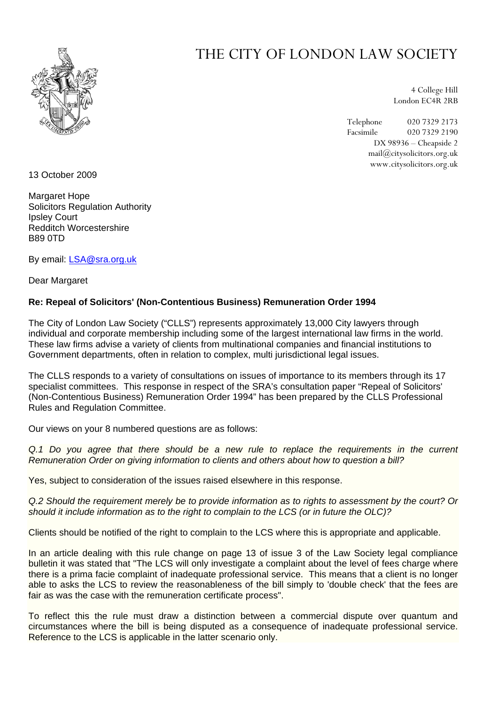

## THE CITY OF LONDON LAW SOCIETY

4 College Hill London EC4R 2RB

Telephone 020 7329 2173 Facsimile 020 7329 2190 DX 98936 – Cheapside 2 mail@citysolicitors.org.uk www.citysolicitors.org.uk

13 October 2009

Margaret Hope Solicitors Regulation Authority Ipsley Court Redditch Worcestershire B89 0TD

By email: [LSA@sra.org.uk](mailto:LSA@sra.org.uk)

Dear Margaret

## **Re: Repeal of Solicitors' (Non-Contentious Business) Remuneration Order 1994**

The City of London Law Society ("CLLS") represents approximately 13,000 City lawyers through individual and corporate membership including some of the largest international law firms in the world. These law firms advise a variety of clients from multinational companies and financial institutions to Government departments, often in relation to complex, multi jurisdictional legal issues.

The CLLS responds to a variety of consultations on issues of importance to its members through its 17 specialist committees. This response in respect of the SRA's consultation paper "Repeal of Solicitors' (Non-Contentious Business) Remuneration Order 1994" has been prepared by the CLLS Professional Rules and Regulation Committee.

Our views on your 8 numbered questions are as follows:

*Q.1 Do you agree that there should be a new rule to replace the requirements in the current Remuneration Order on giving information to clients and others about how to question a bill?* 

Yes, subject to consideration of the issues raised elsewhere in this response.

*Q.2 Should the requirement merely be to provide information as to rights to assessment by the court? Or should it include information as to the right to complain to the LCS (or in future the OLC)?* 

Clients should be notified of the right to complain to the LCS where this is appropriate and applicable.

In an article dealing with this rule change on page 13 of issue 3 of the Law Society legal compliance bulletin it was stated that "The LCS will only investigate a complaint about the level of fees charge where there is a prima facie complaint of inadequate professional service. This means that a client is no longer able to asks the LCS to review the reasonableness of the bill simply to 'double check' that the fees are fair as was the case with the remuneration certificate process".

To reflect this the rule must draw a distinction between a commercial dispute over quantum and circumstances where the bill is being disputed as a consequence of inadequate professional service. Reference to the LCS is applicable in the latter scenario only.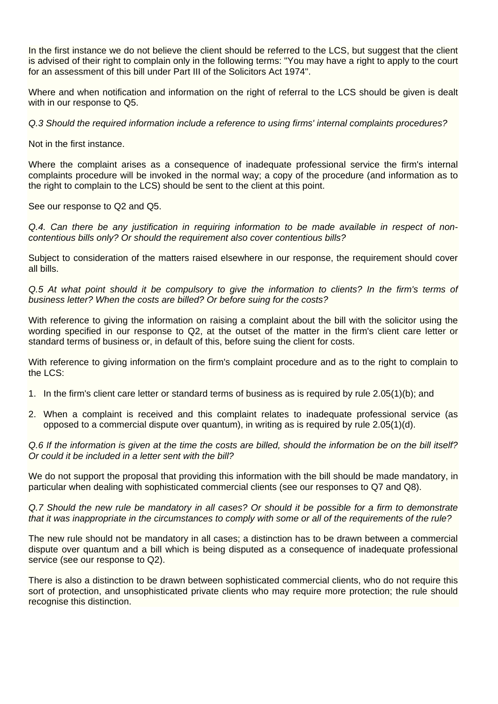In the first instance we do not believe the client should be referred to the LCS, but suggest that the client is advised of their right to complain only in the following terms: "You may have a right to apply to the court for an assessment of this bill under Part III of the Solicitors Act 1974".

Where and when notification and information on the right of referral to the LCS should be given is dealt with in our response to Q5.

*Q.3 Should the required information include a reference to using firms' internal complaints procedures?* 

Not in the first instance.

Where the complaint arises as a consequence of inadequate professional service the firm's internal complaints procedure will be invoked in the normal way; a copy of the procedure (and information as to the right to complain to the LCS) should be sent to the client at this point.

See our response to Q2 and Q5.

*Q.4. Can there be any justification in requiring information to be made available in respect of noncontentious bills only? Or should the requirement also cover contentious bills?* 

Subject to consideration of the matters raised elsewhere in our response, the requirement should cover all bills.

*Q.5 At what point should it be compulsory to give the information to clients? In the firm's terms of business letter? When the costs are billed? Or before suing for the costs?* 

With reference to giving the information on raising a complaint about the bill with the solicitor using the wording specified in our response to Q2, at the outset of the matter in the firm's client care letter or standard terms of business or, in default of this, before suing the client for costs.

With reference to giving information on the firm's complaint procedure and as to the right to complain to the LCS:

- 1. In the firm's client care letter or standard terms of business as is required by rule 2.05(1)(b); and
- 2. When a complaint is received and this complaint relates to inadequate professional service (as opposed to a commercial dispute over quantum), in writing as is required by rule 2.05(1)(d).

*Q.6 If the information is given at the time the costs are billed, should the information be on the bill itself? Or could it be included in a letter sent with the bill?* 

We do not support the proposal that providing this information with the bill should be made mandatory, in particular when dealing with sophisticated commercial clients (see our responses to Q7 and Q8).

*Q.7 Should the new rule be mandatory in all cases? Or should it be possible for a firm to demonstrate that it was inappropriate in the circumstances to comply with some or all of the requirements of the rule?* 

The new rule should not be mandatory in all cases; a distinction has to be drawn between a commercial dispute over quantum and a bill which is being disputed as a consequence of inadequate professional service (see our response to Q2).

There is also a distinction to be drawn between sophisticated commercial clients, who do not require this sort of protection, and unsophisticated private clients who may require more protection; the rule should recognise this distinction.